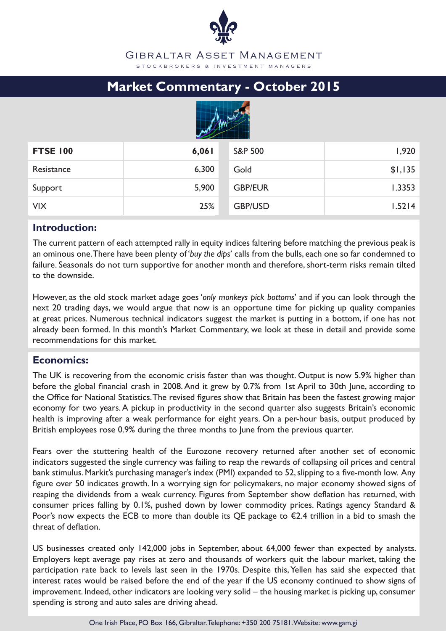# **Market Commentary - October 2015**



| <b>FTSE 100</b> | 6,061 | <b>S&amp;P 500</b> | 1,920   |
|-----------------|-------|--------------------|---------|
| Resistance      | 6,300 | Gold               | \$1,135 |
| Support         | 5,900 | <b>GBP/EUR</b>     | 1.3353  |
| <b>VIX</b>      | 25%   | <b>GBP/USD</b>     | 1.5214  |

# **Introduction:**

The current pattern of each attempted rally in equity indices faltering before matching the previous peak is an ominous one. There have been plenty of '*buy the dips*' calls from the bulls, each one so far condemned to failure. Seasonals do not turn supportive for another month and therefore, short-term risks remain tilted to the downside.

However, as the old stock market adage goes '*only monkeys pick bottoms*' and if you can look through the next 20 trading days, we would argue that now is an opportune time for picking up quality companies at great prices. Numerous technical indicators suggest the market is putting in a bottom, if one has not already been formed. In this month's Market Commentary, we look at these in detail and provide some recommendations for this market.

# **Economics:**

The UK is recovering from the economic crisis faster than was thought. Output is now 5.9% higher than before the global financial crash in 2008. And it grew by 0.7% from 1st April to 30th June, according to the Office for National Statistics. The revised figures show that Britain has been the fastest growing major economy for two years. A pickup in productivity in the second quarter also suggests Britain's economic health is improving after a weak performance for eight years. On a per-hour basis, output produced by British employees rose 0.9% during the three months to June from the previous quarter.

Fears over the stuttering health of the Eurozone recovery returned after another set of economic indicators suggested the single currency was failing to reap the rewards of collapsing oil prices and central bank stimulus. Markit's purchasing manager's index (PMI) expanded to 52, slipping to a five-month low. Any figure over 50 indicates growth. In a worrying sign for policymakers, no major economy showed signs of reaping the dividends from a weak currency. Figures from September show deflation has returned, with consumer prices falling by 0.1%, pushed down by lower commodity prices. Ratings agency Standard & Poor's now expects the ECB to more than double its QE package to  $\epsilon$ 2.4 trillion in a bid to smash the threat of deflation.

US businesses created only 142,000 jobs in September, about 64,000 fewer than expected by analysts. Employers kept average pay rises at zero and thousands of workers quit the labour market, taking the participation rate back to levels last seen in the 1970s. Despite this, Yellen has said she expected that interest rates would be raised before the end of the year if the US economy continued to show signs of improvement. Indeed, other indicators are looking very solid – the housing market is picking up, consumer spending is strong and auto sales are driving ahead.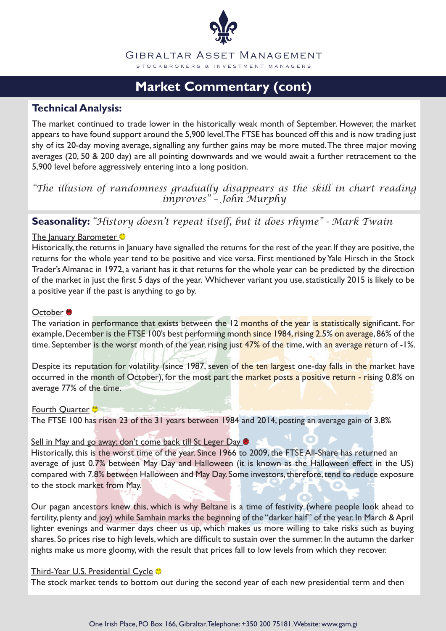

# **Market Commentary (cont)**

# **Technical Analysis:**

The market continued to trade lower in the historically weak month of September. However, the market appears to have found support around the 5,900 level. The FTSE has bounced off this and is now trading just shy of its 20-day moving average, signalling any further gains may be more muted. The three major moving averages (20, 50 & 200 day) are all pointing downwards and we would await a further retracement to the 5,900 level before aggressively entering into a long position.

### *"The illusion of randomness gradually disappears as the skill in chart reading improves" – John Murphy*

# **Seasonality:** *"History doesn't repeat itself, but it does rhyme" - Mark Twain*

#### The January Barometer<sup>®</sup>

Historically, the returns in January have signalled the returns for the rest of the year. If they are positive, the returns for the whole year tend to be positive and vice versa. First mentioned by Yale Hirsch in the Stock Trader's Almanac in 1972, a variant has it that returns for the whole year can be predicted by the direction of the market in just the first 5 days of the year. Whichever variant you use, statistically 2015 is likely to be a positive year if the past is anything to go by.

#### October<sup>8</sup>

The variation in performance that exists between the 12 months of the year is statistically significant. For example, December is the FTSE 100's best performing month since 1984, rising 2.5% on average, 86% of the time. September is the worst month of the year, rising just 47% of the time, with an average return of -1%.

Despite its reputation for volatility (since 1987, seven of the ten largest one-day falls in the market have occurred in the month of October), for the most part the market posts a positive return - rising 0.8% on average 77% of the time.

Fourth Quarter **O** The FTSE 100 has risen 23 of the 31 years between 1984 and 2014, posting an average gain of 3.8%

#### Sell in May and go away; don't come back till St Leger Day

Historically, this is the worst time of the year. Since 1966 to 2009, the FTSE All-Share has returned an average of just 0.7% between May Day and Halloween (it is known as the Halloween effect in the US) compared with 7.8% between Halloween and May Day. Some investors, therefore, tend to reduce exposure to the stock market from May.

Our pagan ancestors knew this, which is why Beltane is a time of festivity (where people look ahead to fertility, plenty and joy) while Samhain marks the beginning of the "darker half" of the year. In March & April lighter evenings and warmer days cheer us up, which makes us more willing to take risks such as buying shares. So prices rise to high levels, which are difficult to sustain over the summer. In the autumn the darker nights make us more gloomy, with the result that prices fall to low levels from which they recover.

#### Third-Year U.S. Presidential Cycle <sup>®</sup>

The stock market tends to bottom out during the second year of each new presidential term and then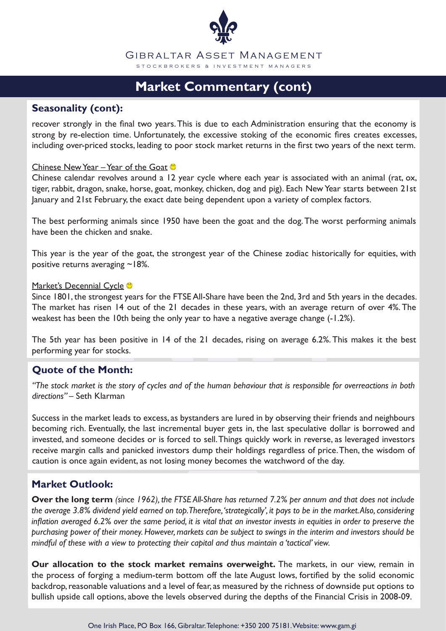

# **Market Commentary (cont)**

### **Seasonality (cont):**

recover strongly in the final two years. This is due to each Administration ensuring that the economy is strong by re-election time. Unfortunately, the excessive stoking of the economic fires creates excesses, including over-priced stocks, leading to poor stock market returns in the first two years of the next term.

#### Chinese New Year – Year of the Goat

Chinese calendar revolves around a 12 year cycle where each year is associated with an animal (rat, ox, tiger, rabbit, dragon, snake, horse, goat, monkey, chicken, dog and pig). Each New Year starts between 21st January and 21st February, the exact date being dependent upon a variety of complex factors.

The best performing animals since 1950 have been the goat and the dog. The worst performing animals have been the chicken and snake.

This year is the year of the goat, the strongest year of the Chinese zodiac historically for equities, with positive returns averaging ~18%.

#### Market's Decennial Cycle<sup>®</sup>

Since 1801, the strongest years for the FTSE All-Share have been the 2nd, 3rd and 5th years in the decades. The market has risen 14 out of the 21 decades in these years, with an average return of over 4%. The weakest has been the 10th being the only year to have a negative average change (-1.2%).

The 5th year has been positive in 14 of the 21 decades, rising on average 6.2%. This makes it the best performing year for stocks.

# **Quote of the Month:**

*"The stock market is the story of cycles and of the human behaviour that is responsible for overreactions in both directions" –* Seth Klarman

Success in the market leads to excess, as bystanders are lured in by observing their friends and neighbours becoming rich. Eventually, the last incremental buyer gets in, the last speculative dollar is borrowed and invested, and someone decides or is forced to sell. Things quickly work in reverse, as leveraged investors receive margin calls and panicked investors dump their holdings regardless of price. Then, the wisdom of caution is once again evident, as not losing money becomes the watchword of the day.

# **Market Outlook:**

**Over the long term** *(since 1962), the FTSE All-Share has returned 7.2% per annum and that does not include the average 3.8% dividend yield earned on top. Therefore, 'strategically', it pays to be in the market. Also, considering inflation averaged 6.2% over the same period, it is vital that an investor invests in equities in order to preserve the purchasing power of their money. However, markets can be subject to swings in the interim and investors should be mindful of these with a view to protecting their capital and thus maintain a 'tactical' view.* 

**Our allocation to the stock market remains overweight.** The markets, in our view, remain in the process of forging a medium-term bottom off the late August lows, fortified by the solid economic backdrop, reasonable valuations and a level of fear, as measured by the richness of downside put options to bullish upside call options, above the levels observed during the depths of the Financial Crisis in 2008-09.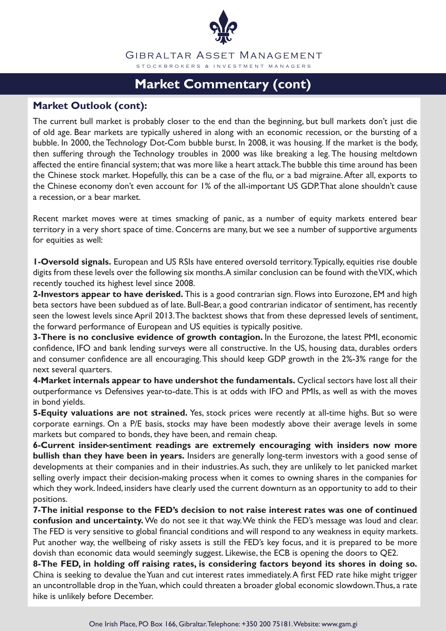

# **Market Commentary (cont)**

### **Market Outlook (cont):**

The current bull market is probably closer to the end than the beginning, but bull markets don't just die of old age. Bear markets are typically ushered in along with an economic recession, or the bursting of a bubble. In 2000, the Technology Dot-Com bubble burst. In 2008, it was housing. If the market is the body, then suffering through the Technology troubles in 2000 was like breaking a leg. The housing meltdown affected the entire financial system; that was more like a heart attack. The bubble this time around has been the Chinese stock market. Hopefully, this can be a case of the flu, or a bad migraine. After all, exports to the Chinese economy don't even account for 1% of the all-important US GDP. That alone shouldn't cause a recession, or a bear market.

Recent market moves were at times smacking of panic, as a number of equity markets entered bear territory in a very short space of time. Concerns are many, but we see a number of supportive arguments for equities as well:

**1-Oversold signals.** European and US RSIs have entered oversold territory. Typically, equities rise double digits from these levels over the following six months. A similar conclusion can be found with the VIX, which recently touched its highest level since 2008.

**2-Investors appear to have derisked.** This is a good contrarian sign. Flows into Eurozone, EM and high beta sectors have been subdued as of late. Bull-Bear, a good contrarian indicator of sentiment, has recently seen the lowest levels since April 2013. The backtest shows that from these depressed levels of sentiment, the forward performance of European and US equities is typically positive.

**3-There is no conclusive evidence of growth contagion.** In the Eurozone, the latest PMI, economic confidence, IFO and bank lending surveys were all constructive. In the US, housing data, durables orders and consumer confidence are all encouraging. This should keep GDP growth in the 2%-3% range for the next several quarters.

**4-Market internals appear to have undershot the fundamentals.** Cyclical sectors have lost all their outperformance vs Defensives year-to-date. This is at odds with IFO and PMIs, as well as with the moves in bond yields.

**5-Equity valuations are not strained.** Yes, stock prices were recently at all-time highs. But so were corporate earnings. On a P/E basis, stocks may have been modestly above their average levels in some markets but compared to bonds, they have been, and remain cheap.

**6-Current insider-sentiment readings are extremely encouraging with insiders now more bullish than they have been in years.** Insiders are generally long-term investors with a good sense of developments at their companies and in their industries. As such, they are unlikely to let panicked market selling overly impact their decision-making process when it comes to owning shares in the companies for which they work. Indeed, insiders have clearly used the current downturn as an opportunity to add to their positions.

**7-The initial response to the FED's decision to not raise interest rates was one of continued confusion and uncertainty.** We do not see it that way. We think the FED's message was loud and clear. The FED is very sensitive to global financial conditions and will respond to any weakness in equity markets. Put another way, the wellbeing of risky assets is still the FED's key focus, and it is prepared to be more dovish than economic data would seemingly suggest. Likewise, the ECB is opening the doors to QE2.

**8-The FED, in holding off raising rates, is considering factors beyond its shores in doing so.** China is seeking to devalue the Yuan and cut interest rates immediately. A first FED rate hike might trigger an uncontrollable drop in the Yuan, which could threaten a broader global economic slowdown. Thus, a rate hike is unlikely before December.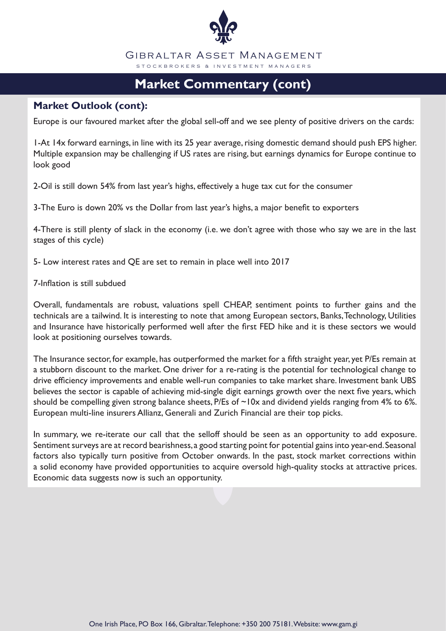

# **Market Commentary (cont)**

# **Market Outlook (cont):**

Europe is our favoured market after the global sell-off and we see plenty of positive drivers on the cards:

1-At 14x forward earnings, in line with its 25 year average, rising domestic demand should push EPS higher. Multiple expansion may be challenging if US rates are rising, but earnings dynamics for Europe continue to look good

2-Oil is still down 54% from last year's highs, effectively a huge tax cut for the consumer

3-The Euro is down 20% vs the Dollar from last year's highs, a major benefit to exporters

4-There is still plenty of slack in the economy (i.e. we don't agree with those who say we are in the last stages of this cycle)

5- Low interest rates and QE are set to remain in place well into 2017

7-Inflation is still subdued

Overall, fundamentals are robust, valuations spell CHEAP, sentiment points to further gains and the technicals are a tailwind. It is interesting to note that among European sectors, Banks, Technology, Utilities and Insurance have historically performed well after the first FED hike and it is these sectors we would look at positioning ourselves towards.

The Insurance sector, for example, has outperformed the market for a fifth straight year, yet P/Es remain at a stubborn discount to the market. One driver for a re-rating is the potential for technological change to drive efficiency improvements and enable well-run companies to take market share. Investment bank UBS believes the sector is capable of achieving mid-single digit earnings growth over the next five years, which should be compelling given strong balance sheets, P/Es of  $\sim$ 10x and dividend yields ranging from 4% to 6%. European multi-line insurers Allianz, Generali and Zurich Financial are their top picks.

In summary, we re-iterate our call that the selloff should be seen as an opportunity to add exposure. Sentiment surveys are at record bearishness, a good starting point for potential gains into year-end. Seasonal factors also typically turn positive from October onwards. In the past, stock market corrections within a solid economy have provided opportunities to acquire oversold high-quality stocks at attractive prices. Economic data suggests now is such an opportunity.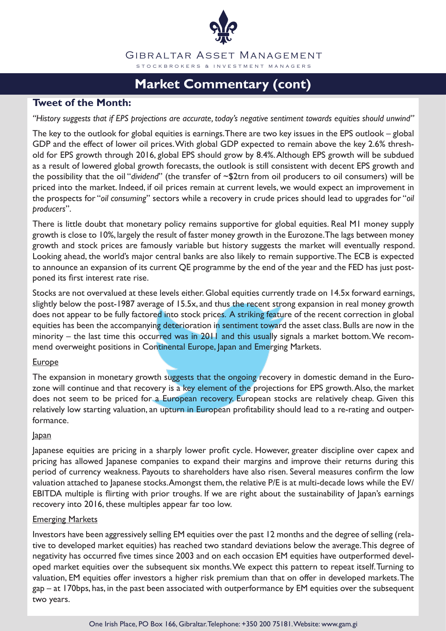

# **Market Commentary (cont)**

### **Tweet of the Month:**

#### *"History suggests that if EPS projections are accurate, today's negative sentiment towards equities should unwind"*

The key to the outlook for global equities is earnings. There are two key issues in the EPS outlook – global GDP and the effect of lower oil prices. With global GDP expected to remain above the key 2.6% threshold for EPS growth through 2016, global EPS should grow by 8.4%. Although EPS growth will be subdued as a result of lowered global growth forecasts, the outlook is still consistent with decent EPS growth and the possibility that the oil "*dividend*" (the transfer of ~\$2trn from oil producers to oil consumers) will be priced into the market. Indeed, if oil prices remain at current levels, we would expect an improvement in the prospects for "*oil consuming*" sectors while a recovery in crude prices should lead to upgrades for "*oil producers*".

There is little doubt that monetary policy remains supportive for global equities. Real M1 money supply growth is close to 10%, largely the result of faster money growth in the Eurozone. The lags between money growth and stock prices are famously variable but history suggests the market will eventually respond. Looking ahead, the world's major central banks are also likely to remain supportive. The ECB is expected to announce an expansion of its current QE programme by the end of the year and the FED has just postponed its first interest rate rise.

Stocks are not overvalued at these levels either. Global equities currently trade on 14.5x forward earnings, slightly below the post-1987 average of 15.5x, and thus the recent strong expansion in real money growth does not appear to be fully factored into stock prices. A striking feature of the recent correction in global equities has been the accompanying deterioration in sentiment toward the asset class. Bulls are now in the minority – the last time this occurred was in 2011 and this usually signals a market bottom. We recommend overweight positions in Continental Europe, Japan and Emerging Markets.

#### **Europe**

The expansion in monetary growth suggests that the ongoing recovery in domestic demand in the Eurozone will continue and that recovery is a key element of the projections for EPS growth. Also, the market does not seem to be priced for a European recovery. European stocks are relatively cheap. Given this relatively low starting valuation, an upturn in European profitability should lead to a re-rating and outperformance.

#### Japan

Japanese equities are pricing in a sharply lower profit cycle. However, greater discipline over capex and pricing has allowed Japanese companies to expand their margins and improve their returns during this period of currency weakness. Payouts to shareholders have also risen. Several measures confirm the low valuation attached to Japanese stocks. Amongst them, the relative P/E is at multi-decade lows while the EV/ EBITDA multiple is flirting with prior troughs. If we are right about the sustainability of Japan's earnings recovery into 2016, these multiples appear far too low.

#### **Emerging Markets**

Investors have been aggressively selling EM equities over the past 12 months and the degree of selling (relative to developed market equities) has reached two standard deviations below the average. This degree of negativity has occurred five times since 2003 and on each occasion EM equities have outperformed developed market equities over the subsequent six months. We expect this pattern to repeat itself. Turning to valuation, EM equities offer investors a higher risk premium than that on offer in developed markets. The gap – at 170bps, has, in the past been associated with outperformance by EM equities over the subsequent two years.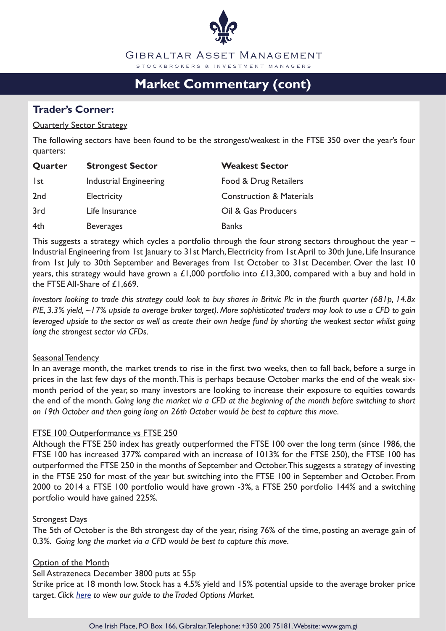

# **Market Commentary (cont)**

# **Trader's Corner:**

#### Quarterly Sector Strategy

The following sectors have been found to be the strongest/weakest in the FTSE 350 over the year's four quarters:

| <b>Strongest Sector</b><br>Quarter |                        | <b>Weakest Sector</b>               |  |
|------------------------------------|------------------------|-------------------------------------|--|
| lst                                | Industrial Engineering | Food & Drug Retailers               |  |
| 2 <sub>nd</sub>                    | <b>Electricity</b>     | <b>Construction &amp; Materials</b> |  |
| 3rd                                | Life Insurance         | Oil & Gas Producers                 |  |
| 4th                                | <b>Beverages</b>       | <b>Banks</b>                        |  |

This suggests a strategy which cycles a portfolio through the four strong sectors throughout the year -Industrial Engineering from 1st January to 31st March, Electricity from 1st April to 30th June, Life Insurance from 1st July to 30th September and Beverages from 1st October to 31st December. Over the last 10 years, this strategy would have grown a £1,000 portfolio into £13,300, compared with a buy and hold in the FTSE All-Share of £1,669.

*Investors looking to trade this strategy could look to buy shares in Britvic Plc in the fourth quarter (681p, 14.8x P/E, 3.3% yield, ~17% upside to average broker target). More sophisticated traders may look to use a CFD to gain leveraged upside to the sector as well as create their own hedge fund by shorting the weakest sector whilst going long the strongest sector via CFDs.*

#### Seasonal Tendency

In an average month, the market trends to rise in the first two weeks, then to fall back, before a surge in prices in the last few days of the month. This is perhaps because October marks the end of the weak sixmonth period of the year, so many investors are looking to increase their exposure to equities towards the end of the month. *Going long the market via a CFD at the beginning of the month before switching to short on 19th October and then going long on 26th October would be best to capture this move.*

#### **FTSE 100 Outperformance vs FTSE 250**

Although the FTSE 250 index has greatly outperformed the FTSE 100 over the long term (since 1986, the FTSE 100 has increased 377% compared with an increase of 1013% for the FTSE 250), the FTSE 100 has outperformed the FTSE 250 in the months of September and October. This suggests a strategy of investing in the FTSE 250 for most of the year but switching into the FTSE 100 in September and October. From 2000 to 2014 a FTSE 100 portfolio would have grown -3%, a FTSE 250 portfolio 144% and a switching portfolio would have gained 225%.

#### **Strongest Days**

The 5th of October is the 8th strongest day of the year, rising 76% of the time, posting an average gain of 0.3%. *Going long the market via a CFD would be best to capture this move.*

#### **Option of the Month**

Sell Astrazeneca December 3800 puts at 55p

Strike price at 18 month low. Stock has a 4.5% yield and 15% potential upside to the average broker price target. *Click here to view our guide to the Traded Options Market.*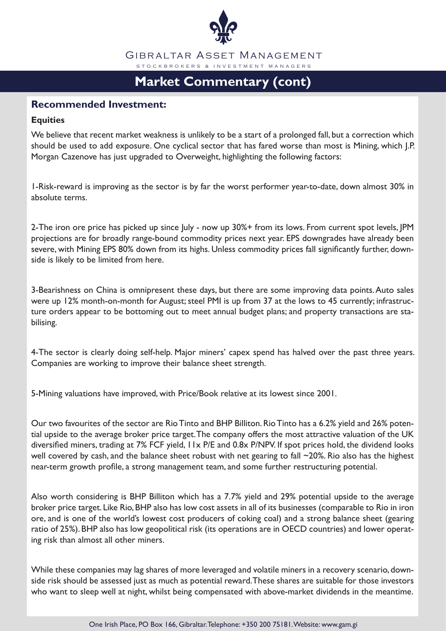

# **Market Commentary (cont)**

### **Recommended Investment:**

#### **Equities**

We believe that recent market weakness is unlikely to be a start of a prolonged fall, but a correction which should be used to add exposure. One cyclical sector that has fared worse than most is Mining, which J.P. Morgan Cazenove has just upgraded to Overweight, highlighting the following factors:

1-Risk-reward is improving as the sector is by far the worst performer year-to-date, down almost 30% in absolute terms.

2-The iron ore price has picked up since July - now up 30%+ from its lows. From current spot levels, JPM projections are for broadly range-bound commodity prices next year. EPS downgrades have already been severe, with Mining EPS 80% down from its highs. Unless commodity prices fall significantly further, downside is likely to be limited from here.

3-Bearishness on China is omnipresent these days, but there are some improving data points. Auto sales were up 12% month-on-month for August; steel PMI is up from 37 at the lows to 45 currently; infrastructure orders appear to be bottoming out to meet annual budget plans; and property transactions are stabilising.

4-The sector is clearly doing self-help. Major miners' capex spend has halved over the past three years. Companies are working to improve their balance sheet strength.

5-Mining valuations have improved, with Price/Book relative at its lowest since 2001.

Our two favourites of the sector are Rio Tinto and BHP Billiton. Rio Tinto has a 6.2% yield and 26% potential upside to the average broker price target. The company offers the most attractive valuation of the UK diversified miners, trading at 7% FCF yield, 11x P/E and 0.8x P/NPV. If spot prices hold, the dividend looks well covered by cash, and the balance sheet robust with net gearing to fall ~20%. Rio also has the highest near-term growth profile, a strong management team, and some further restructuring potential.

Also worth considering is BHP Billiton which has a 7.7% yield and 29% potential upside to the average broker price target. Like Rio, BHP also has low cost assets in all of its businesses (comparable to Rio in iron ore, and is one of the world's lowest cost producers of coking coal) and a strong balance sheet (gearing ratio of 25%). BHP also has low geopolitical risk (its operations are in OECD countries) and lower operating risk than almost all other miners.

While these companies may lag shares of more leveraged and volatile miners in a recovery scenario, downside risk should be assessed just as much as potential reward. These shares are suitable for those investors who want to sleep well at night, whilst being compensated with above-market dividends in the meantime.